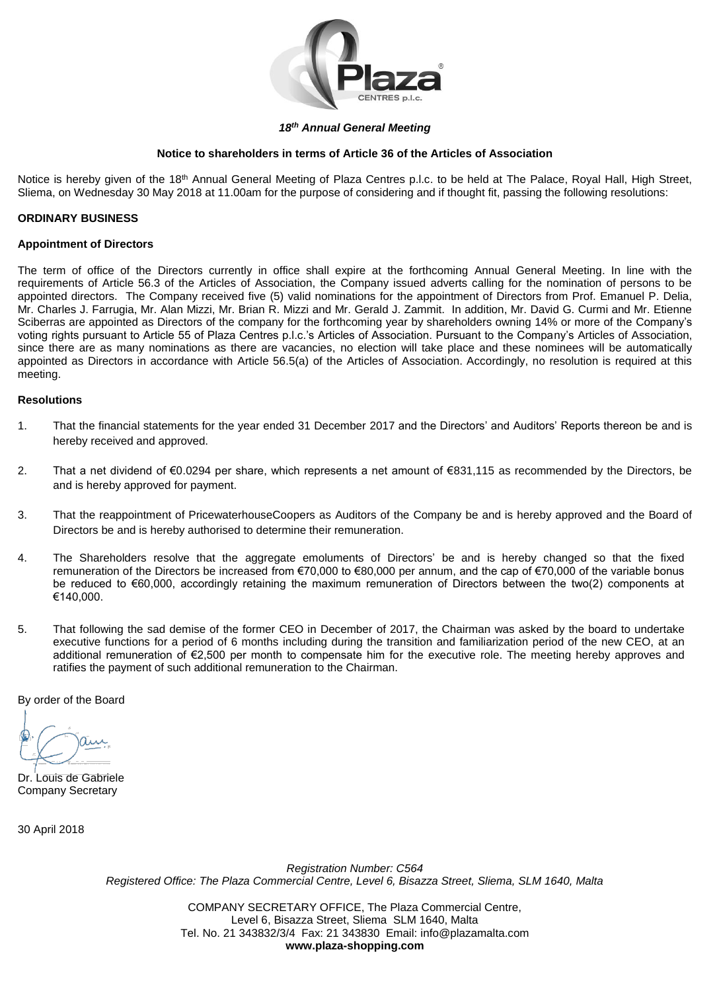

### *18 th Annual General Meeting*

### **Notice to shareholders in terms of Article 36 of the Articles of Association**

Notice is hereby given of the 18<sup>th</sup> Annual General Meeting of Plaza Centres p.l.c. to be held at The Palace, Royal Hall, High Street, Sliema, on Wednesday 30 May 2018 at 11.00am for the purpose of considering and if thought fit, passing the following resolutions:

### **ORDINARY BUSINESS**

### **Appointment of Directors**

The term of office of the Directors currently in office shall expire at the forthcoming Annual General Meeting. In line with the requirements of Article 56.3 of the Articles of Association, the Company issued adverts calling for the nomination of persons to be appointed directors.The Company received five (5) valid nominations for the appointment of Directors from Prof. Emanuel P. Delia, Mr. Charles J. Farrugia, Mr. Alan Mizzi, Mr. Brian R. Mizzi and Mr. Gerald J. Zammit. In addition, Mr. David G. Curmi and Mr. Etienne Sciberras are appointed as Directors of the company for the forthcoming year by shareholders owning 14% or more of the Company's voting rights pursuant to Article 55 of Plaza Centres p.l.c.'s Articles of Association. Pursuant to the Company's Articles of Association, since there are as many nominations as there are vacancies, no election will take place and these nominees will be automatically appointed as Directors in accordance with Article 56.5(a) of the Articles of Association. Accordingly, no resolution is required at this meeting.

### **Resolutions**

- 1. That the financial statements for the year ended 31 December 2017 and the Directors' and Auditors' Reports thereon be and is hereby received and approved.
- 2. That a net dividend of €0.0294 per share, which represents a net amount of €831,115 as recommended by the Directors, be and is hereby approved for payment.
- 3. That the reappointment of PricewaterhouseCoopers as Auditors of the Company be and is hereby approved and the Board of Directors be and is hereby authorised to determine their remuneration.
- 4. The Shareholders resolve that the aggregate emoluments of Directors' be and is hereby changed so that the fixed remuneration of the Directors be increased from €70,000 to €80,000 per annum, and the cap of €70,000 of the variable bonus be reduced to €60,000, accordingly retaining the maximum remuneration of Directors between the two(2) components at €140,000.
- 5. That following the sad demise of the former CEO in December of 2017, the Chairman was asked by the board to undertake executive functions for a period of 6 months including during the transition and familiarization period of the new CEO, at an additional remuneration of €2,500 per month to compensate him for the executive role. The meeting hereby approves and ratifies the payment of such additional remuneration to the Chairman.

By order of the Board

Dr. Louis de Gabriele Company Secretary

30 April 2018

*Registration Number: C564 Registered Office: The Plaza Commercial Centre, Level 6, Bisazza Street, Sliema, SLM 1640, Malta*

> COMPANY SECRETARY OFFICE, The Plaza Commercial Centre, Level 6, Bisazza Street, Sliema SLM 1640, Malta Tel. No. 21 343832/3/4 Fax: 21 343830 Email: [info@plazamalta.com](mailto:info@plazamalta.com) **www.plaza-shopping.com**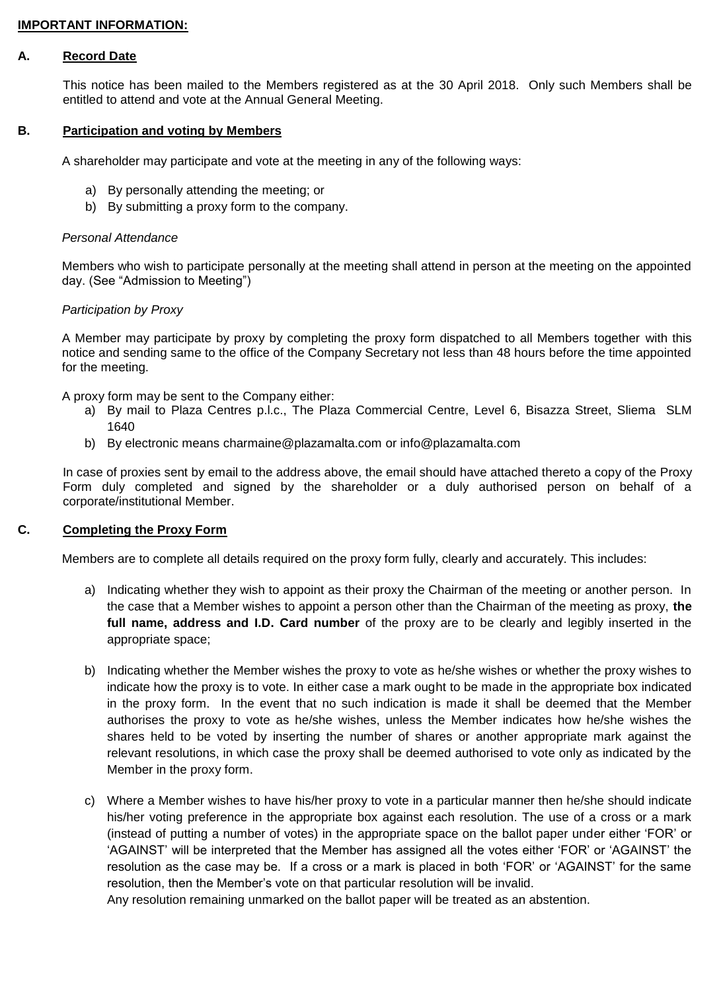# **IMPORTANT INFORMATION:**

### **A. Record Date**

This notice has been mailed to the Members registered as at the 30 April 2018. Only such Members shall be entitled to attend and vote at the Annual General Meeting.

## **B. Participation and voting by Members**

A shareholder may participate and vote at the meeting in any of the following ways:

- a) By personally attending the meeting; or
- b) By submitting a proxy form to the company.

### *Personal Attendance*

Members who wish to participate personally at the meeting shall attend in person at the meeting on the appointed day. (See "Admission to Meeting")

### *Participation by Proxy*

A Member may participate by proxy by completing the proxy form dispatched to all Members together with this notice and sending same to the office of the Company Secretary not less than 48 hours before the time appointed for the meeting.

A proxy form may be sent to the Company either:

- a) By mail to Plaza Centres p.l.c., The Plaza Commercial Centre, Level 6, Bisazza Street, Sliema SLM 1640
- b) By electronic means [charmaine@plazamalta.com](mailto:charmaine@plazamalta.com) or info@plazamalta.com

In case of proxies sent by email to the address above, the email should have attached thereto a copy of the Proxy Form duly completed and signed by the shareholder or a duly authorised person on behalf of a corporate/institutional Member.

## **C. Completing the Proxy Form**

Members are to complete all details required on the proxy form fully, clearly and accurately. This includes:

- a) Indicating whether they wish to appoint as their proxy the Chairman of the meeting or another person. In the case that a Member wishes to appoint a person other than the Chairman of the meeting as proxy, **the full name, address and I.D. Card number** of the proxy are to be clearly and legibly inserted in the appropriate space;
- b) Indicating whether the Member wishes the proxy to vote as he/she wishes or whether the proxy wishes to indicate how the proxy is to vote. In either case a mark ought to be made in the appropriate box indicated in the proxy form. In the event that no such indication is made it shall be deemed that the Member authorises the proxy to vote as he/she wishes, unless the Member indicates how he/she wishes the shares held to be voted by inserting the number of shares or another appropriate mark against the relevant resolutions, in which case the proxy shall be deemed authorised to vote only as indicated by the Member in the proxy form.
- c) Where a Member wishes to have his/her proxy to vote in a particular manner then he/she should indicate his/her voting preference in the appropriate box against each resolution. The use of a cross or a mark (instead of putting a number of votes) in the appropriate space on the ballot paper under either 'FOR' or 'AGAINST' will be interpreted that the Member has assigned all the votes either 'FOR' or 'AGAINST' the resolution as the case may be. If a cross or a mark is placed in both 'FOR' or 'AGAINST' for the same resolution, then the Member's vote on that particular resolution will be invalid.

Any resolution remaining unmarked on the ballot paper will be treated as an abstention.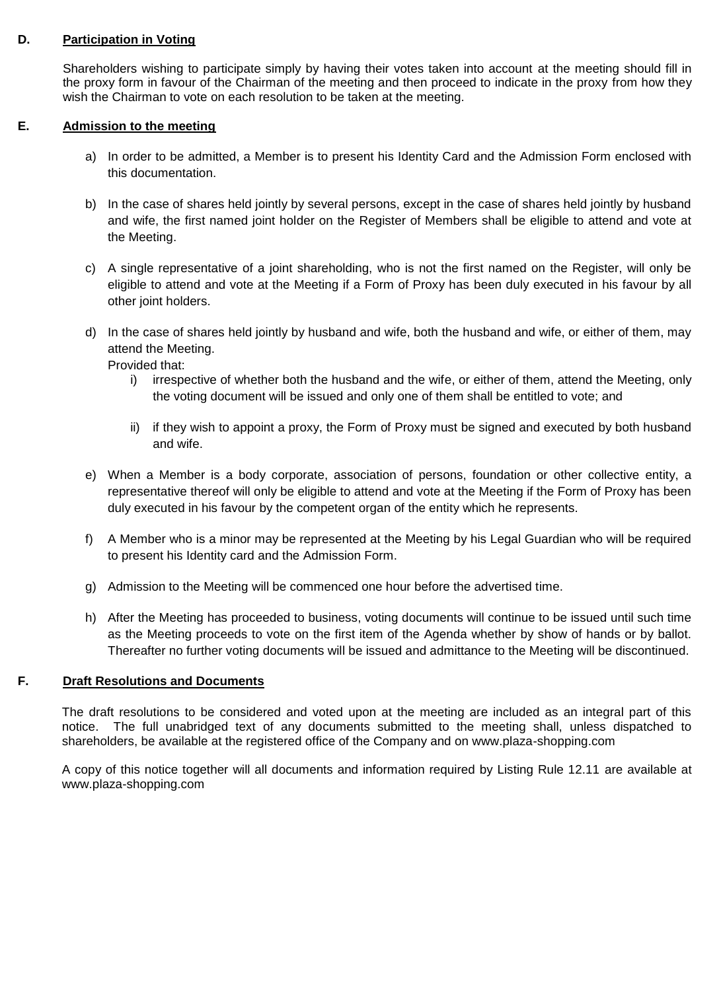## **D. Participation in Voting**

Shareholders wishing to participate simply by having their votes taken into account at the meeting should fill in the proxy form in favour of the Chairman of the meeting and then proceed to indicate in the proxy from how they wish the Chairman to vote on each resolution to be taken at the meeting.

# **E. Admission to the meeting**

- a) In order to be admitted, a Member is to present his Identity Card and the Admission Form enclosed with this documentation.
- b) In the case of shares held jointly by several persons, except in the case of shares held jointly by husband and wife, the first named joint holder on the Register of Members shall be eligible to attend and vote at the Meeting.
- c) A single representative of a joint shareholding, who is not the first named on the Register, will only be eligible to attend and vote at the Meeting if a Form of Proxy has been duly executed in his favour by all other joint holders.
- d) In the case of shares held jointly by husband and wife, both the husband and wife, or either of them, may attend the Meeting.
	- Provided that:
		- i) irrespective of whether both the husband and the wife, or either of them, attend the Meeting, only the voting document will be issued and only one of them shall be entitled to vote; and
		- ii) if they wish to appoint a proxy, the Form of Proxy must be signed and executed by both husband and wife.
- e) When a Member is a body corporate, association of persons, foundation or other collective entity, a representative thereof will only be eligible to attend and vote at the Meeting if the Form of Proxy has been duly executed in his favour by the competent organ of the entity which he represents.
- f) A Member who is a minor may be represented at the Meeting by his Legal Guardian who will be required to present his Identity card and the Admission Form.
- g) Admission to the Meeting will be commenced one hour before the advertised time.
- h) After the Meeting has proceeded to business, voting documents will continue to be issued until such time as the Meeting proceeds to vote on the first item of the Agenda whether by show of hands or by ballot. Thereafter no further voting documents will be issued and admittance to the Meeting will be discontinued.

# **F. Draft Resolutions and Documents**

The draft resolutions to be considered and voted upon at the meeting are included as an integral part of this notice. The full unabridged text of any documents submitted to the meeting shall, unless dispatched to shareholders, be available at the registered office of the Company and on www.plaza-shopping.com

A copy of this notice together will all documents and information required by Listing Rule 12.11 are available at [www.plaza-shopping.com](http://www.plaza-shopping.com/)